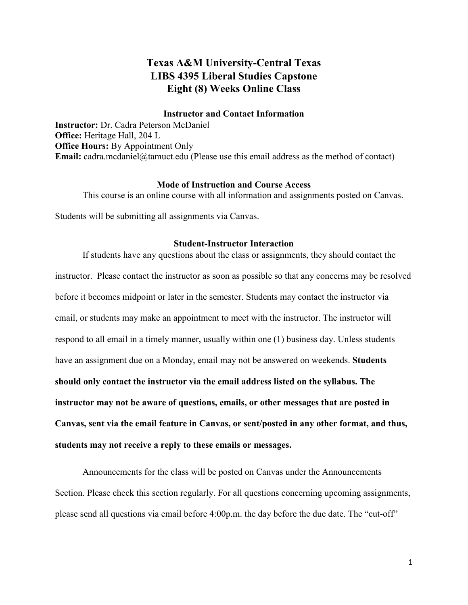# **Texas A&M University-Central Texas LIBS 4395 Liberal Studies Capstone Eight (8) Weeks Online Class**

## **Instructor and Contact Information**

**Instructor:** Dr. Cadra Peterson McDaniel **Office:** Heritage Hall, 204 L **Office Hours:** By Appointment Only **Email:** cadra.mcdaniel@tamuct.edu (Please use this email address as the method of contact)

## **Mode of Instruction and Course Access**

This course is an online course with all information and assignments posted on Canvas.

Students will be submitting all assignments via Canvas.

## **Student-Instructor Interaction**

If students have any questions about the class or assignments, they should contact the instructor. Please contact the instructor as soon as possible so that any concerns may be resolved before it becomes midpoint or later in the semester. Students may contact the instructor via email, or students may make an appointment to meet with the instructor. The instructor will respond to all email in a timely manner, usually within one (1) business day. Unless students have an assignment due on a Monday, email may not be answered on weekends. **Students should only contact the instructor via the email address listed on the syllabus. The instructor may not be aware of questions, emails, or other messages that are posted in Canvas, sent via the email feature in Canvas, or sent/posted in any other format, and thus, students may not receive a reply to these emails or messages.** 

Announcements for the class will be posted on Canvas under the Announcements Section. Please check this section regularly. For all questions concerning upcoming assignments, please send all questions via email before 4:00p.m. the day before the due date. The "cut-off"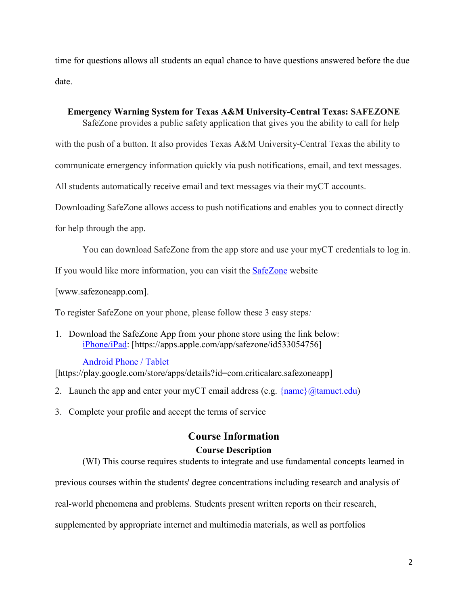time for questions allows all students an equal chance to have questions answered before the due date.

## **Emergency Warning System for Texas A&M University-Central Texas: SAFEZONE**

SafeZone provides a public safety application that gives you the ability to call for help

with the push of a button. It also provides Texas A&M University-Central Texas the ability to

communicate emergency information quickly via push notifications, email, and text messages.

All students automatically receive email and text messages via their myCT accounts.

Downloading SafeZone allows access to push notifications and enables you to connect directly

for help through the app.

You can download SafeZone from the app store and use your myCT credentials to log in.

If you would like more information, you can visit the **[SafeZone](http://www.safezoneapp.com/)** website

[www.safezoneapp.com].

To register SafeZone on your phone, please follow these 3 easy steps*:*

1. Download the SafeZone App from your phone store using the link below: [iPhone/iPad:](https://apps.apple.com/app/safezone/id533054756) [https://apps.apple.com/app/safezone/id533054756]

## [Android Phone / Tablet](https://play.google.com/store/apps/details?id=com.criticalarc.safezoneapp)

[https://play.google.com/store/apps/details?id=com.criticalarc.safezoneapp]

- 2. Launch the app and enter your myCT email address (e.g.  $\{\text{name}\}\langle\omega\text{tamuct.edu}\rangle$ )
- 3. Complete your profile and accept the terms of service

# **Course Information Course Description**

(WI) This course requires students to integrate and use fundamental concepts learned in

previous courses within the students' degree concentrations including research and analysis of

real-world phenomena and problems. Students present written reports on their research,

supplemented by appropriate internet and multimedia materials, as well as portfolios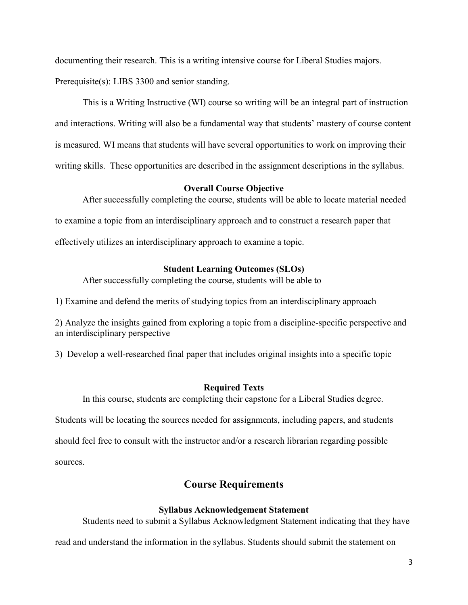documenting their research. This is a writing intensive course for Liberal Studies majors. Prerequisite(s): LIBS 3300 and senior standing.

This is a Writing Instructive (WI) course so writing will be an integral part of instruction and interactions. Writing will also be a fundamental way that students' mastery of course content is measured. WI means that students will have several opportunities to work on improving their writing skills. These opportunities are described in the assignment descriptions in the syllabus.

## **Overall Course Objective**

After successfully completing the course, students will be able to locate material needed to examine a topic from an interdisciplinary approach and to construct a research paper that effectively utilizes an interdisciplinary approach to examine a topic.

## **Student Learning Outcomes (SLOs)**

After successfully completing the course, students will be able to

1) Examine and defend the merits of studying topics from an interdisciplinary approach

2) Analyze the insights gained from exploring a topic from a discipline-specific perspective and an interdisciplinary perspective

3) Develop a well-researched final paper that includes original insights into a specific topic

#### **Required Texts**

In this course, students are completing their capstone for a Liberal Studies degree.

Students will be locating the sources needed for assignments, including papers, and students

should feel free to consult with the instructor and/or a research librarian regarding possible

sources.

## **Course Requirements**

## **Syllabus Acknowledgement Statement**

Students need to submit a Syllabus Acknowledgment Statement indicating that they have

read and understand the information in the syllabus. Students should submit the statement on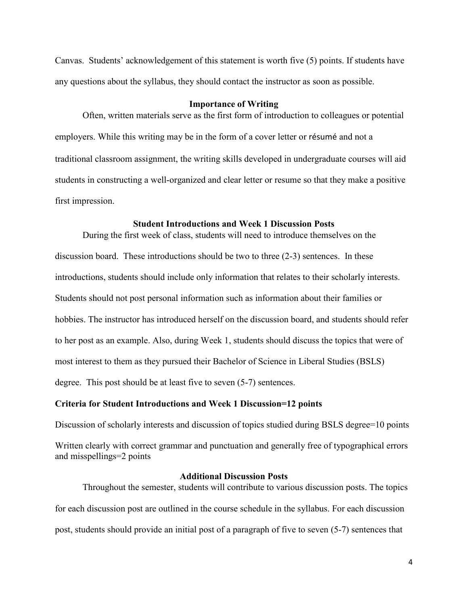Canvas. Students' acknowledgement of this statement is worth five (5) points. If students have any questions about the syllabus, they should contact the instructor as soon as possible.

#### **Importance of Writing**

Often, written materials serve as the first form of introduction to colleagues or potential employers. While this writing may be in the form of a cover letter or résumé and not a traditional classroom assignment, the writing skills developed in undergraduate courses will aid students in constructing a well-organized and clear letter or resume so that they make a positive first impression.

## **Student Introductions and Week 1 Discussion Posts**

During the first week of class, students will need to introduce themselves on the discussion board. These introductions should be two to three (2-3) sentences. In these introductions, students should include only information that relates to their scholarly interests. Students should not post personal information such as information about their families or hobbies. The instructor has introduced herself on the discussion board, and students should refer to her post as an example. Also, during Week 1, students should discuss the topics that were of most interest to them as they pursued their Bachelor of Science in Liberal Studies (BSLS) degree. This post should be at least five to seven (5-7) sentences.

## **Criteria for Student Introductions and Week 1 Discussion=12 points**

Discussion of scholarly interests and discussion of topics studied during BSLS degree=10 points

Written clearly with correct grammar and punctuation and generally free of typographical errors and misspellings=2 points

## **Additional Discussion Posts**

Throughout the semester, students will contribute to various discussion posts. The topics for each discussion post are outlined in the course schedule in the syllabus. For each discussion post, students should provide an initial post of a paragraph of five to seven (5-7) sentences that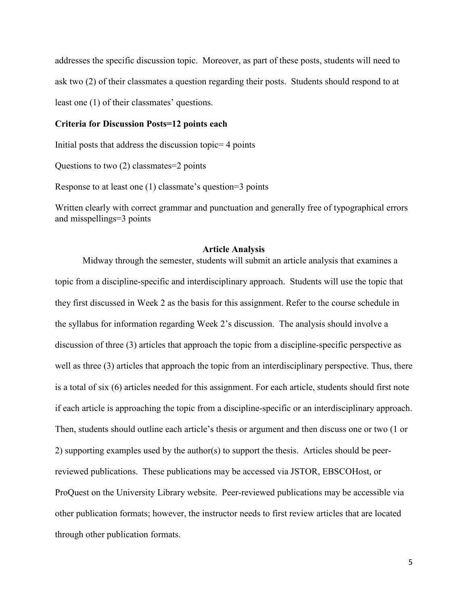addresses the specific discussion topic. Moreover, as part of these posts, students will need to ask two (2) of their classmates a question regarding their posts. Students should respond to at least one (1) of their classmates' questions.

## **Criteria for Discussion Posts=12 points each**

Initial posts that address the discussion topic= 4 points

Questions to two (2) classmates=2 points

Response to at least one (1) classmate's question=3 points

Written clearly with correct grammar and punctuation and generally free of typographical errors and misspellings=3 points

## **Article Analysis**

Midway through the semester, students will submit an article analysis that examines a topic from a discipline-specific and interdisciplinary approach. Students will use the topic that they first discussed in Week 2 as the basis for this assignment. Refer to the course schedule in the syllabus for information regarding Week 2's discussion. The analysis should involve a discussion of three (3) articles that approach the topic from a discipline-specific perspective as well as three (3) articles that approach the topic from an interdisciplinary perspective. Thus, there is a total of six (6) articles needed for this assignment. For each article, students should first note if each article is approaching the topic from a discipline-specific or an interdisciplinary approach. Then, students should outline each article's thesis or argument and then discuss one or two (1 or 2) supporting examples used by the author(s) to support the thesis. Articles should be peerreviewed publications. These publications may be accessed via JSTOR, EBSCOHost, or ProQuest on the University Library website. Peer-reviewed publications may be accessible via other publication formats; however, the instructor needs to first review articles that are located through other publication formats.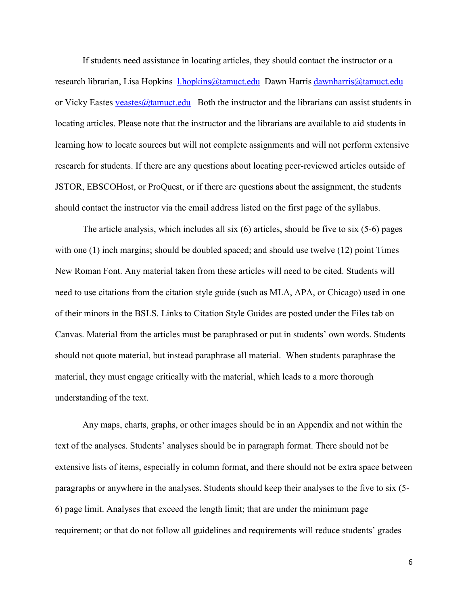If students need assistance in locating articles, they should contact the instructor or a research librarian, Lisa Hopkins 1.hopkins@tamuct.edu Dawn Harris dawnharris@tamuct.edu or Vicky Eastes veastes  $\omega$  tamuct.edu Both the instructor and the librarians can assist students in locating articles. Please note that the instructor and the librarians are available to aid students in learning how to locate sources but will not complete assignments and will not perform extensive research for students. If there are any questions about locating peer-reviewed articles outside of JSTOR, EBSCOHost, or ProQuest, or if there are questions about the assignment, the students should contact the instructor via the email address listed on the first page of the syllabus.

The article analysis, which includes all six (6) articles, should be five to six (5-6) pages with one (1) inch margins; should be doubled spaced; and should use twelve (12) point Times New Roman Font. Any material taken from these articles will need to be cited. Students will need to use citations from the citation style guide (such as MLA, APA, or Chicago) used in one of their minors in the BSLS. Links to Citation Style Guides are posted under the Files tab on Canvas. Material from the articles must be paraphrased or put in students' own words. Students should not quote material, but instead paraphrase all material. When students paraphrase the material, they must engage critically with the material, which leads to a more thorough understanding of the text.

Any maps, charts, graphs, or other images should be in an Appendix and not within the text of the analyses. Students' analyses should be in paragraph format. There should not be extensive lists of items, especially in column format, and there should not be extra space between paragraphs or anywhere in the analyses. Students should keep their analyses to the five to six (5- 6) page limit. Analyses that exceed the length limit; that are under the minimum page requirement; or that do not follow all guidelines and requirements will reduce students' grades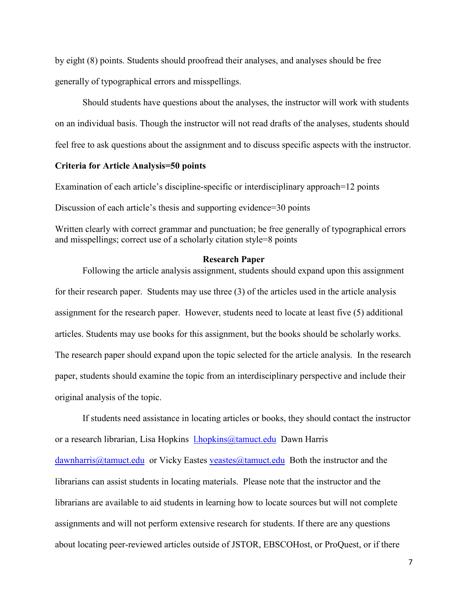by eight (8) points. Students should proofread their analyses, and analyses should be free generally of typographical errors and misspellings.

Should students have questions about the analyses, the instructor will work with students on an individual basis. Though the instructor will not read drafts of the analyses, students should feel free to ask questions about the assignment and to discuss specific aspects with the instructor.

## **Criteria for Article Analysis=50 points**

Examination of each article's discipline-specific or interdisciplinary approach=12 points Discussion of each article's thesis and supporting evidence=30 points

Written clearly with correct grammar and punctuation; be free generally of typographical errors and misspellings; correct use of a scholarly citation style=8 points

## **Research Paper**

Following the article analysis assignment, students should expand upon this assignment for their research paper. Students may use three (3) of the articles used in the article analysis assignment for the research paper. However, students need to locate at least five (5) additional articles. Students may use books for this assignment, but the books should be scholarly works. The research paper should expand upon the topic selected for the article analysis. In the research paper, students should examine the topic from an interdisciplinary perspective and include their original analysis of the topic.

If students need assistance in locating articles or books, they should contact the instructor or a research librarian, Lisa Hopkins *[l.hopkins@tamuct.edu](mailto:l.hopkins@tamuct.edu)* Dawn Harris  $dawnharris@tamuct.edu$  or Vicky Eastes veastes  $@tamuct.edu$  Both the instructor and the librarians can assist students in locating materials. Please note that the instructor and the librarians are available to aid students in learning how to locate sources but will not complete assignments and will not perform extensive research for students. If there are any questions about locating peer-reviewed articles outside of JSTOR, EBSCOHost, or ProQuest, or if there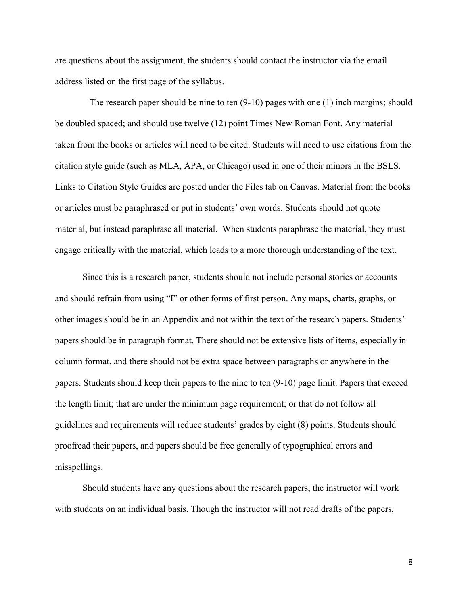are questions about the assignment, the students should contact the instructor via the email address listed on the first page of the syllabus.

 The research paper should be nine to ten (9-10) pages with one (1) inch margins; should be doubled spaced; and should use twelve (12) point Times New Roman Font. Any material taken from the books or articles will need to be cited. Students will need to use citations from the citation style guide (such as MLA, APA, or Chicago) used in one of their minors in the BSLS. Links to Citation Style Guides are posted under the Files tab on Canvas. Material from the books or articles must be paraphrased or put in students' own words. Students should not quote material, but instead paraphrase all material. When students paraphrase the material, they must engage critically with the material, which leads to a more thorough understanding of the text.

Since this is a research paper, students should not include personal stories or accounts and should refrain from using "I" or other forms of first person. Any maps, charts, graphs, or other images should be in an Appendix and not within the text of the research papers. Students' papers should be in paragraph format. There should not be extensive lists of items, especially in column format, and there should not be extra space between paragraphs or anywhere in the papers. Students should keep their papers to the nine to ten (9-10) page limit. Papers that exceed the length limit; that are under the minimum page requirement; or that do not follow all guidelines and requirements will reduce students' grades by eight (8) points. Students should proofread their papers, and papers should be free generally of typographical errors and misspellings.

Should students have any questions about the research papers, the instructor will work with students on an individual basis. Though the instructor will not read drafts of the papers,

8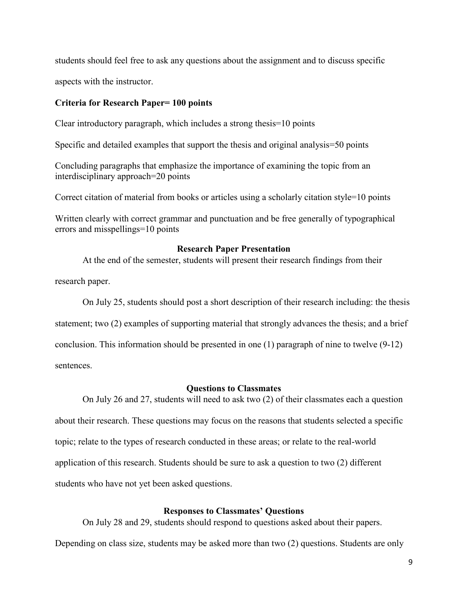students should feel free to ask any questions about the assignment and to discuss specific

aspects with the instructor.

## **Criteria for Research Paper= 100 points**

Clear introductory paragraph, which includes a strong thesis=10 points

Specific and detailed examples that support the thesis and original analysis=50 points

Concluding paragraphs that emphasize the importance of examining the topic from an interdisciplinary approach=20 points

Correct citation of material from books or articles using a scholarly citation style=10 points

Written clearly with correct grammar and punctuation and be free generally of typographical errors and misspellings=10 points

## **Research Paper Presentation**

At the end of the semester, students will present their research findings from their

research paper.

On July 25, students should post a short description of their research including: the thesis statement; two (2) examples of supporting material that strongly advances the thesis; and a brief conclusion. This information should be presented in one (1) paragraph of nine to twelve (9-12) sentences.

#### **Questions to Classmates**

On July 26 and 27, students will need to ask two (2) of their classmates each a question about their research. These questions may focus on the reasons that students selected a specific topic; relate to the types of research conducted in these areas; or relate to the real-world application of this research. Students should be sure to ask a question to two (2) different students who have not yet been asked questions.

#### **Responses to Classmates' Questions**

On July 28 and 29, students should respond to questions asked about their papers.

Depending on class size, students may be asked more than two (2) questions. Students are only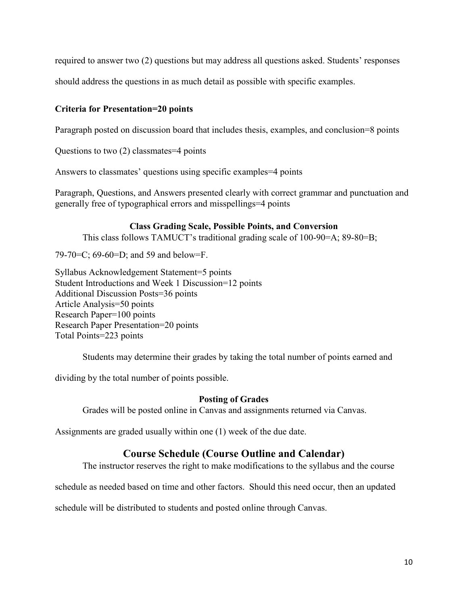required to answer two (2) questions but may address all questions asked. Students' responses

should address the questions in as much detail as possible with specific examples.

## **Criteria for Presentation=20 points**

Paragraph posted on discussion board that includes thesis, examples, and conclusion=8 points

Questions to two (2) classmates=4 points

Answers to classmates' questions using specific examples=4 points

Paragraph, Questions, and Answers presented clearly with correct grammar and punctuation and generally free of typographical errors and misspellings=4 points

## **Class Grading Scale, Possible Points, and Conversion**

This class follows TAMUCT's traditional grading scale of 100-90=A; 89-80=B;

79-70=C; 69-60=D; and 59 and below=F.

Syllabus Acknowledgement Statement=5 points Student Introductions and Week 1 Discussion=12 points Additional Discussion Posts=36 points Article Analysis=50 points Research Paper=100 points Research Paper Presentation=20 points Total Points=223 points

Students may determine their grades by taking the total number of points earned and

dividing by the total number of points possible.

## **Posting of Grades**

Grades will be posted online in Canvas and assignments returned via Canvas.

Assignments are graded usually within one (1) week of the due date.

# **Course Schedule (Course Outline and Calendar)**

The instructor reserves the right to make modifications to the syllabus and the course

schedule as needed based on time and other factors. Should this need occur, then an updated

schedule will be distributed to students and posted online through Canvas.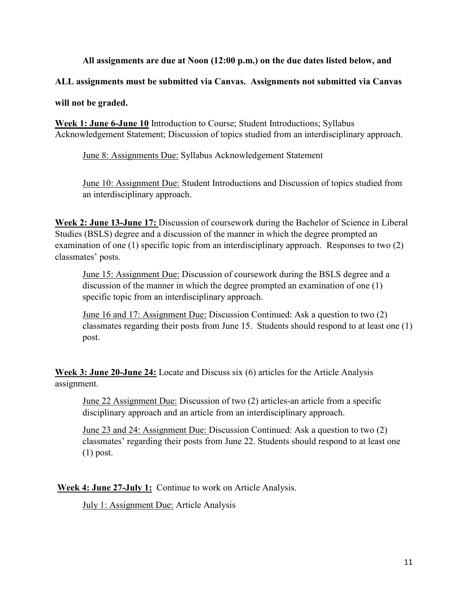## **All assignments are due at Noon (12:00 p.m.) on the due dates listed below, and**

**ALL assignments must be submitted via Canvas. Assignments not submitted via Canvas** 

**will not be graded.** 

**Week 1: June 6-June 10** Introduction to Course; Student Introductions; Syllabus Acknowledgement Statement; Discussion of topics studied from an interdisciplinary approach.

June 8: Assignments Due: Syllabus Acknowledgement Statement

June 10: Assignment Due: Student Introductions and Discussion of topics studied from an interdisciplinary approach.

**Week 2: June 13-June 17:** Discussion of coursework during the Bachelor of Science in Liberal Studies (BSLS) degree and a discussion of the manner in which the degree prompted an examination of one (1) specific topic from an interdisciplinary approach. Responses to two (2) classmates' posts.

June 15: Assignment Due: Discussion of coursework during the BSLS degree and a discussion of the manner in which the degree prompted an examination of one (1) specific topic from an interdisciplinary approach.

June 16 and 17: Assignment Due: Discussion Continued: Ask a question to two (2) classmates regarding their posts from June 15. Students should respond to at least one (1) post.

**Week 3: June 20-June 24:** Locate and Discuss six (6) articles for the Article Analysis assignment.

June 22 Assignment Due: Discussion of two (2) articles-an article from a specific disciplinary approach and an article from an interdisciplinary approach.

June 23 and 24: Assignment Due: Discussion Continued: Ask a question to two (2) classmates' regarding their posts from June 22. Students should respond to at least one (1) post.

**Week 4: June 27-July 1:** Continue to work on Article Analysis.

July 1: Assignment Due: Article Analysis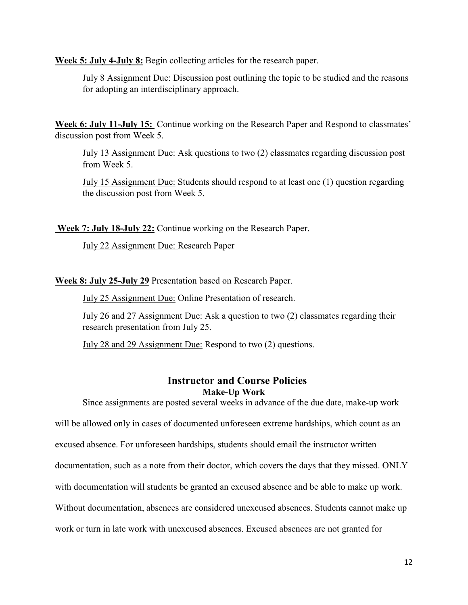**Week 5: July 4-July 8:** Begin collecting articles for the research paper.

July 8 Assignment Due: Discussion post outlining the topic to be studied and the reasons for adopting an interdisciplinary approach.

**Week 6: July 11-July 15:** Continue working on the Research Paper and Respond to classmates' discussion post from Week 5.

July 13 Assignment Due: Ask questions to two (2) classmates regarding discussion post from Week 5.

July 15 Assignment Due: Students should respond to at least one (1) question regarding the discussion post from Week 5.

**Week 7: July 18-July 22:** Continue working on the Research Paper.

July 22 Assignment Due: Research Paper

**Week 8: July 25-July 29** Presentation based on Research Paper.

July 25 Assignment Due: Online Presentation of research.

July 26 and 27 Assignment Due: Ask a question to two (2) classmates regarding their research presentation from July 25.

July 28 and 29 Assignment Due: Respond to two (2) questions.

## **Instructor and Course Policies Make-Up Work**

Since assignments are posted several weeks in advance of the due date, make-up work will be allowed only in cases of documented unforeseen extreme hardships, which count as an excused absence. For unforeseen hardships, students should email the instructor written documentation, such as a note from their doctor, which covers the days that they missed. ONLY with documentation will students be granted an excused absence and be able to make up work. Without documentation, absences are considered unexcused absences. Students cannot make up work or turn in late work with unexcused absences. Excused absences are not granted for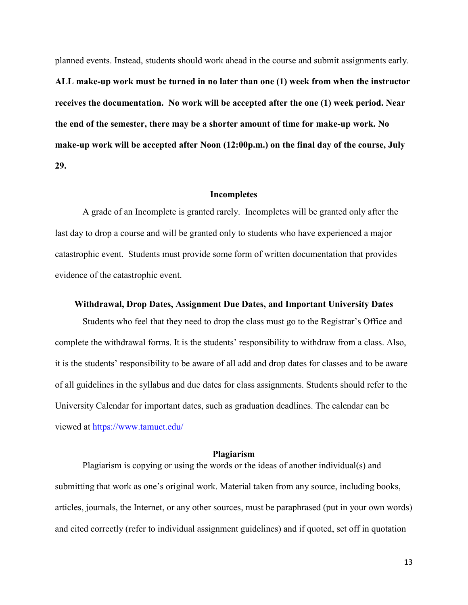planned events. Instead, students should work ahead in the course and submit assignments early. **ALL make-up work must be turned in no later than one (1) week from when the instructor receives the documentation. No work will be accepted after the one (1) week period. Near the end of the semester, there may be a shorter amount of time for make-up work. No make-up work will be accepted after Noon (12:00p.m.) on the final day of the course, July 29.** 

#### **Incompletes**

A grade of an Incomplete is granted rarely. Incompletes will be granted only after the last day to drop a course and will be granted only to students who have experienced a major catastrophic event. Students must provide some form of written documentation that provides evidence of the catastrophic event.

## **Withdrawal, Drop Dates, Assignment Due Dates, and Important University Dates**

Students who feel that they need to drop the class must go to the Registrar's Office and complete the withdrawal forms. It is the students' responsibility to withdraw from a class. Also, it is the students' responsibility to be aware of all add and drop dates for classes and to be aware of all guidelines in the syllabus and due dates for class assignments. Students should refer to the University Calendar for important dates, such as graduation deadlines. The calendar can be viewed at<https://www.tamuct.edu/>

#### **Plagiarism**

Plagiarism is copying or using the words or the ideas of another individual(s) and submitting that work as one's original work. Material taken from any source, including books, articles, journals, the Internet, or any other sources, must be paraphrased (put in your own words) and cited correctly (refer to individual assignment guidelines) and if quoted, set off in quotation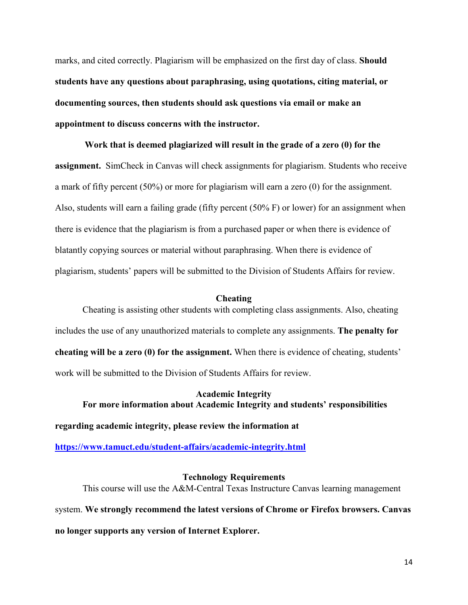marks, and cited correctly. Plagiarism will be emphasized on the first day of class. **Should students have any questions about paraphrasing, using quotations, citing material, or documenting sources, then students should ask questions via email or make an appointment to discuss concerns with the instructor.** 

**Work that is deemed plagiarized will result in the grade of a zero (0) for the assignment.** SimCheck in Canvas will check assignments for plagiarism. Students who receive a mark of fifty percent (50%) or more for plagiarism will earn a zero (0) for the assignment. Also, students will earn a failing grade (fifty percent (50% F) or lower) for an assignment when there is evidence that the plagiarism is from a purchased paper or when there is evidence of blatantly copying sources or material without paraphrasing. When there is evidence of plagiarism, students' papers will be submitted to the Division of Students Affairs for review.

## **Cheating**

Cheating is assisting other students with completing class assignments. Also, cheating includes the use of any unauthorized materials to complete any assignments. **The penalty for cheating will be a zero (0) for the assignment.** When there is evidence of cheating, students' work will be submitted to the Division of Students Affairs for review.

# **Academic Integrity For more information about Academic Integrity and students' responsibilities**

**regarding academic integrity, please review the information at** 

**<https://www.tamuct.edu/student-affairs/academic-integrity.html>**

**Technology Requirements** This course will use the A&M-Central Texas Instructure Canvas learning management system. **We strongly recommend the latest versions of Chrome or Firefox browsers. Canvas no longer supports any version of Internet Explorer.**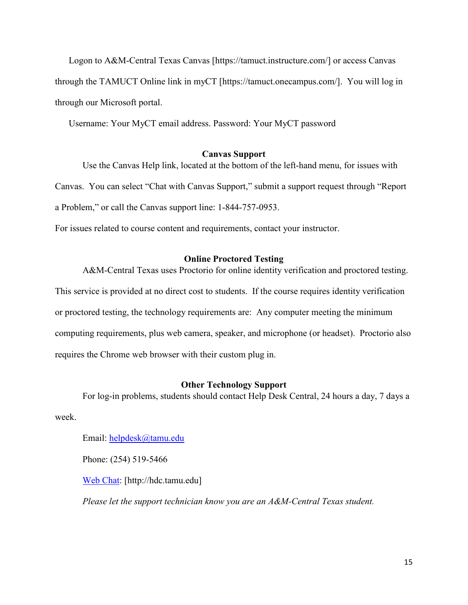Logon to A&M-Central Texas Canvas [https://tamuct.instructure.com/] or access Canvas through the TAMUCT Online link in myCT [https://tamuct.onecampus.com/]. You will log in through our Microsoft portal.

Username: Your MyCT email address. Password: Your MyCT password

## **Canvas Support**

Use the Canvas Help link, located at the bottom of the left-hand menu, for issues with Canvas. You can select "Chat with Canvas Support," submit a support request through "Report a Problem," or call the Canvas support line: 1-844-757-0953.

For issues related to course content and requirements, contact your instructor.

## **Online Proctored Testing**

A&M-Central Texas uses Proctorio for online identity verification and proctored testing. This service is provided at no direct cost to students. If the course requires identity verification or proctored testing, the technology requirements are: Any computer meeting the minimum computing requirements, plus web camera, speaker, and microphone (or headset). Proctorio also requires the Chrome web browser with their custom plug in.

## **Other Technology Support**

For log-in problems, students should contact Help Desk Central, 24 hours a day, 7 days a

week.

Email: [helpdesk@tamu.edu](mailto:helpdesk@tamu.edu)

Phone: (254) 519-5466

[Web Chat:](http://hdc.tamu.edu/) [http://hdc.tamu.edu]

*Please let the support technician know you are an A&M-Central Texas student.*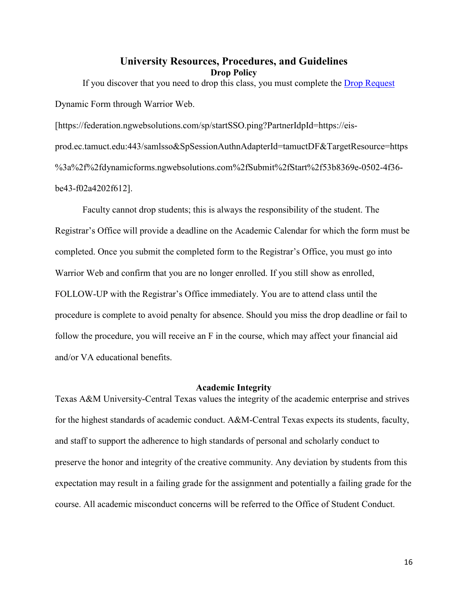## **University Resources, Procedures, and Guidelines Drop Policy**

If you discover that you need to drop this class, you must complete the [Drop Request](https://federation.ngwebsolutions.com/sp/startSSO.ping?PartnerIdpId=https://eis-prod.ec.tamuct.edu:443/samlsso&SpSessionAuthnAdapterId=tamuctDF&TargetResource=https%3a%2f%2fdynamicforms.ngwebsolutions.com%2fSubmit%2fStart%2f53b8369e-0502-4f36-be43-f02a4202f612) Dynamic Form through Warrior Web. [https://federation.ngwebsolutions.com/sp/startSSO.ping?PartnerIdpId=https://eis-

prod.ec.tamuct.edu:443/samlsso&SpSessionAuthnAdapterId=tamuctDF&TargetResource=https %3a%2f%2fdynamicforms.ngwebsolutions.com%2fSubmit%2fStart%2f53b8369e-0502-4f36 be43-f02a4202f612].

Faculty cannot drop students; this is always the responsibility of the student. The Registrar's Office will provide a deadline on the Academic Calendar for which the form must be completed. Once you submit the completed form to the Registrar's Office, you must go into Warrior Web and confirm that you are no longer enrolled. If you still show as enrolled, FOLLOW-UP with the Registrar's Office immediately. You are to attend class until the procedure is complete to avoid penalty for absence. Should you miss the drop deadline or fail to follow the procedure, you will receive an F in the course, which may affect your financial aid and/or VA educational benefits.

## **Academic Integrity**

Texas A&M University-Central Texas values the integrity of the academic enterprise and strives for the highest standards of academic conduct. A&M-Central Texas expects its students, faculty, and staff to support the adherence to high standards of personal and scholarly conduct to preserve the honor and integrity of the creative community. Any deviation by students from this expectation may result in a failing grade for the assignment and potentially a failing grade for the course. All academic misconduct concerns will be referred to the Office of Student Conduct.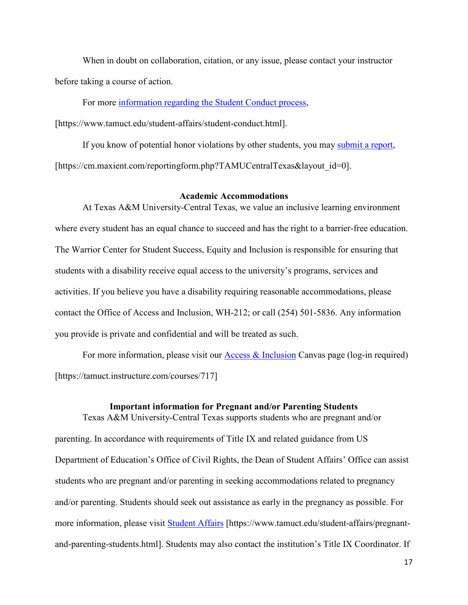When in doubt on collaboration, citation, or any issue, please contact your instructor before taking a course of action.

For more [information](https://nam04.safelinks.protection.outlook.com/?url=https%3A%2F%2Fwww.tamuct.edu%2Fstudent-affairs%2Fstudent-conduct.html&data=04%7C01%7Clisa.bunkowski%40tamuct.edu%7Ccfb6e486f24745f53e1a08d910055cb2%7C9eed4e3000f744849ff193ad8005acec%7C0%7C0%7C637558437485252160%7CUnknown%7CTWFpbGZsb3d8eyJWIjoiMC4wLjAwMDAiLCJQIjoiV2luMzIiLCJBTiI6Ik1haWwiLCJXVCI6Mn0%3D%7C1000&sdata=yjftDEVHvLX%2FhM%2FcFU0B99krV1RgEWR%2BJ%2BhvtoR6TYk%3D&reserved=0) regarding the Student Conduct process,

[https://www.tamuct.edu/student-affairs/student-conduct.html].

If you know of potential honor violations by other students, you may [submit](https://nam04.safelinks.protection.outlook.com/?url=https%3A%2F%2Fcm.maxient.com%2Freportingform.php%3FTAMUCentralTexas%26layout_id%3D0&data=04%7C01%7Clisa.bunkowski%40tamuct.edu%7Ccfb6e486f24745f53e1a08d910055cb2%7C9eed4e3000f744849ff193ad8005acec%7C0%7C0%7C637558437485262157%7CUnknown%7CTWFpbGZsb3d8eyJWIjoiMC4wLjAwMDAiLCJQIjoiV2luMzIiLCJBTiI6Ik1haWwiLCJXVCI6Mn0%3D%7C1000&sdata=CXGkOa6uPDPX1IMZ87z3aZDq2n91xfHKu4MMS43Ejjk%3D&reserved=0) a report, [https://cm.maxient.com/reportingform.php?TAMUCentralTexas&layout\_id=0].

## **Academic Accommodations**

At Texas A&M University-Central Texas, we value an inclusive learning environment where every student has an equal chance to succeed and has the right to a barrier-free education. The Warrior Center for Student Success, Equity and Inclusion is responsible for ensuring that students with a disability receive equal access to the university's programs, services and activities. If you believe you have a disability requiring reasonable accommodations, please contact the Office of Access and Inclusion, WH-212; or call (254) 501-5836. Any information you provide is private and confidential and will be treated as such.

For more information, please visit our **Access & Inclusion** Canvas page (log-in required) [https://tamuct.instructure.com/courses/717]

#### **Important information for Pregnant and/or Parenting Students**

Texas A&M University-Central Texas supports students who are pregnant and/or parenting. In accordance with requirements of Title IX and related guidance from US Department of Education's Office of Civil Rights, the Dean of Student Affairs' Office can assist students who are pregnant and/or parenting in seeking accommodations related to pregnancy and/or parenting. Students should seek out assistance as early in the pregnancy as possible. For more information, please visit [Student Affairs](https://www.tamuct.edu/student-affairs/pregnant-and-parenting-students.html) [https://www.tamuct.edu/student-affairs/pregnantand-parenting-students.html]. Students may also contact the institution's Title IX Coordinator. If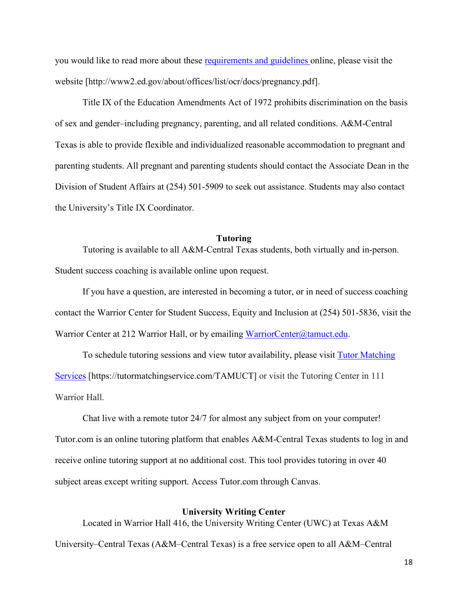you would like to read more about these [requirements and guidelines](http://www2.ed.gov/about/offices/list/ocr/docs/pregnancy.pdf) online, please visit the website [http://www2.ed.gov/about/offices/list/ocr/docs/pregnancy.pdf].

Title IX of the Education Amendments Act of 1972 prohibits discrimination on the basis of sex and gender–including pregnancy, parenting, and all related conditions. A&M-Central Texas is able to provide flexible and individualized reasonable accommodation to pregnant and parenting students. All pregnant and parenting students should contact the Associate Dean in the Division of Student Affairs at (254) 501-5909 to seek out assistance. Students may also contact the University's Title IX Coordinator.

#### **Tutoring**

Tutoring is available to all A&M-Central Texas students, both virtually and in-person. Student success coaching is available online upon request.

If you have a question, are interested in becoming a tutor, or in need of success coaching contact the Warrior Center for Student Success, Equity and Inclusion at (254) 501-5836, visit the Warrior Center at 212 Warrior Hall, or by emailing [WarriorCenter@tamuct.edu.](mailto:WarriorCenter@tamuct.edu)

To schedule tutoring sessions and view tutor availability, please visit Tutor [Matching](https://tutormatchingservice.com/TAMUCT) [Services](https://tutormatchingservice.com/TAMUCT) [https://tutormatchingservice.com/TAMUCT] or visit the Tutoring Center in 111 Warrior Hall.

Chat live with a remote tutor 24/7 for almost any subject from on your computer! Tutor.com is an online tutoring platform that enables A&M-Central Texas students to log in and receive online tutoring support at no additional cost. This tool provides tutoring in over 40 subject areas except writing support. Access Tutor.com through Canvas.

## **University Writing Center**

Located in Warrior Hall 416, the University Writing Center (UWC) at Texas A&M University–Central Texas (A&M–Central Texas) is a free service open to all A&M–Central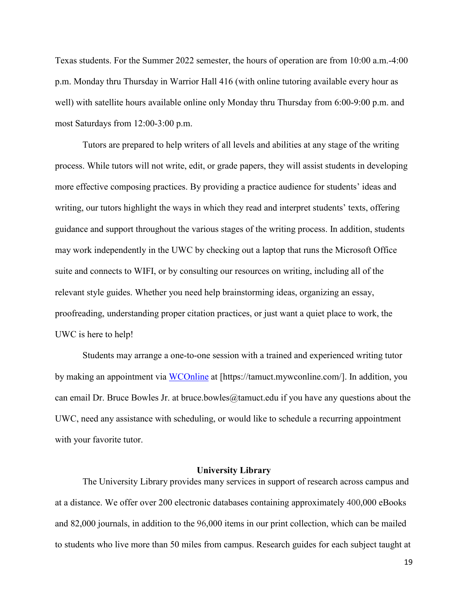Texas students. For the Summer 2022 semester, the hours of operation are from 10:00 a.m.-4:00 p.m. Monday thru Thursday in Warrior Hall 416 (with online tutoring available every hour as well) with satellite hours available online only Monday thru Thursday from 6:00-9:00 p.m. and most Saturdays from 12:00-3:00 p.m.

Tutors are prepared to help writers of all levels and abilities at any stage of the writing process. While tutors will not write, edit, or grade papers, they will assist students in developing more effective composing practices. By providing a practice audience for students' ideas and writing, our tutors highlight the ways in which they read and interpret students' texts, offering guidance and support throughout the various stages of the writing process. In addition, students may work independently in the UWC by checking out a laptop that runs the Microsoft Office suite and connects to WIFI, or by consulting our resources on writing, including all of the relevant style guides. Whether you need help brainstorming ideas, organizing an essay, proofreading, understanding proper citation practices, or just want a quiet place to work, the UWC is here to help!

Students may arrange a one-to-one session with a trained and experienced writing tutor by making an appointment via [WCOnline](https://tamuct.mywconline.com/) at [https://tamuct.mywconline.com/]. In addition, you can email Dr. Bruce Bowles Jr. at bruce.bowles  $@t$ amuct.edu if you have any questions about the UWC, need any assistance with scheduling, or would like to schedule a recurring appointment with your favorite tutor.

## **University Library**

The University Library provides many services in support of research across campus and at a distance. We offer over 200 electronic databases containing approximately 400,000 eBooks and 82,000 journals, in addition to the 96,000 items in our print collection, which can be mailed to students who live more than 50 miles from campus. Research guides for each subject taught at

19